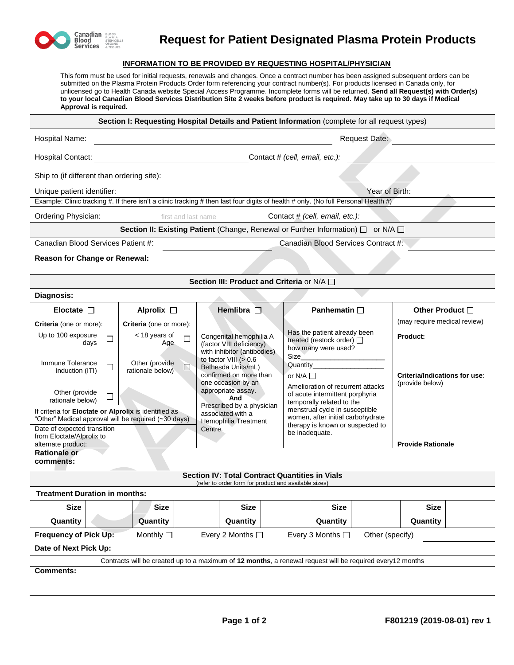

## **Request for Patient Designated Plasma Protein Products**

## **INFORMATION TO BE PROVIDED BY REQUESTING HOSPITAL/PHYSICIAN**

This form must be used for initial requests, renewals and changes. Once a contract number has been assigned subsequent orders can be submitted on the Plasma Protein Products Order form referencing your contract number(s). For products licensed in Canada only, for unlicensed go to Health Canada website Special Access Programme. Incomplete forms will be returned. **Send all Request(s) with Order(s) to your local Canadian Blood Services Distribution Site 2 weeks before product is required. May take up to 30 days if Medical Approval is required.**

|                                                                                                               |                                                                                   |                                                                                                                | Section I: Requesting Hospital Details and Patient Information (complete for all request types)                                    |                                                  |  |  |  |  |  |  |  |  |
|---------------------------------------------------------------------------------------------------------------|-----------------------------------------------------------------------------------|----------------------------------------------------------------------------------------------------------------|------------------------------------------------------------------------------------------------------------------------------------|--------------------------------------------------|--|--|--|--|--|--|--|--|
| Hospital Name:                                                                                                | Request Date:                                                                     |                                                                                                                |                                                                                                                                    |                                                  |  |  |  |  |  |  |  |  |
| Hospital Contact:                                                                                             | Contact # (cell, email, etc.):<br><u> 1989 - Johann Barnett, fransk politik (</u> |                                                                                                                |                                                                                                                                    |                                                  |  |  |  |  |  |  |  |  |
| Ship to (if different than ordering site):                                                                    |                                                                                   |                                                                                                                |                                                                                                                                    |                                                  |  |  |  |  |  |  |  |  |
| Unique patient identifier:                                                                                    |                                                                                   | Year of Birth:                                                                                                 |                                                                                                                                    |                                                  |  |  |  |  |  |  |  |  |
|                                                                                                               |                                                                                   |                                                                                                                | Example: Clinic tracking #. If there isn't a clinic tracking # then last four digits of health # only. (No full Personal Health #) |                                                  |  |  |  |  |  |  |  |  |
| Ordering Physician:                                                                                           | first and last name                                                               |                                                                                                                | Contact $#$ (cell, email, etc.):                                                                                                   |                                                  |  |  |  |  |  |  |  |  |
|                                                                                                               |                                                                                   |                                                                                                                | Section II: Existing Patient (Change, Renewal or Further Information) $\Box$ or N/A $\Box$                                         |                                                  |  |  |  |  |  |  |  |  |
| Canadian Blood Services Patient #:<br>Canadian Blood Services Contract #:                                     |                                                                                   |                                                                                                                |                                                                                                                                    |                                                  |  |  |  |  |  |  |  |  |
| Reason for Change or Renewal:                                                                                 |                                                                                   |                                                                                                                |                                                                                                                                    |                                                  |  |  |  |  |  |  |  |  |
|                                                                                                               |                                                                                   | Section III: Product and Criteria or N/A $\Box$                                                                |                                                                                                                                    |                                                  |  |  |  |  |  |  |  |  |
| Diagnosis:                                                                                                    |                                                                                   |                                                                                                                |                                                                                                                                    |                                                  |  |  |  |  |  |  |  |  |
| Eloctate $\Box$                                                                                               | Alprolix $\square$                                                                | Hemlibra $\square$                                                                                             | <b>Panhematin</b> □                                                                                                                | Other Product □                                  |  |  |  |  |  |  |  |  |
| Criteria (one or more):                                                                                       | Criteria (one or more):                                                           |                                                                                                                |                                                                                                                                    | (may require medical review)                     |  |  |  |  |  |  |  |  |
| Up to 100 exposure<br>$\Box$<br>days                                                                          | < 18 years of<br>□<br>Age                                                         | Congenital hemophilia A<br>(factor VIII deficiency)<br>with inhibitor (antibodies)                             | Has the patient already been<br>treated (restock order) □<br>how many were used?                                                   | <b>Product:</b>                                  |  |  |  |  |  |  |  |  |
| Immune Tolerance<br>$\Box$<br>Induction (ITI)                                                                 | Other (provide<br>$\Box$<br>rationale below)                                      | to factor VIII $(>0.6$<br>Bethesda Units/mL)<br>confirmed on more than                                         | Size<br>Quantity Quantity<br>or N/A $\square$                                                                                      | Criteria/Indications for use:<br>(provide below) |  |  |  |  |  |  |  |  |
| Other (provide)<br>rationale below)                                                                           |                                                                                   | one occasion by an<br>appropriate assay.<br>And<br>Prescribed by a physician                                   | Amelioration of recurrent attacks<br>of acute intermittent porphyria<br>temporally related to the                                  |                                                  |  |  |  |  |  |  |  |  |
| If criteria for Eloctate or Alprolix is identified as<br>"Other" Medical approval will be required (~30 days) |                                                                                   | associated with a<br>Hemophilia Treatment                                                                      | menstrual cycle in susceptible<br>women, after initial carbohydrate                                                                |                                                  |  |  |  |  |  |  |  |  |
| Date of expected transition<br>from Eloctate/Alprolix to                                                      |                                                                                   | Centre.                                                                                                        | therapy is known or suspected to<br>be inadequate.                                                                                 |                                                  |  |  |  |  |  |  |  |  |
| alternate product:                                                                                            |                                                                                   |                                                                                                                |                                                                                                                                    | <b>Provide Rationale</b>                         |  |  |  |  |  |  |  |  |
| <b>Rationale or</b><br>comments:                                                                              |                                                                                   |                                                                                                                |                                                                                                                                    |                                                  |  |  |  |  |  |  |  |  |
|                                                                                                               |                                                                                   | <b>Section IV: Total Contract Quantities in Vials</b><br>(refer to order form for product and available sizes) |                                                                                                                                    |                                                  |  |  |  |  |  |  |  |  |
| <b>Treatment Duration in months:</b>                                                                          |                                                                                   |                                                                                                                |                                                                                                                                    |                                                  |  |  |  |  |  |  |  |  |
| <b>Size</b>                                                                                                   | <b>Size</b>                                                                       | Size                                                                                                           | <b>Size</b>                                                                                                                        | <b>Size</b>                                      |  |  |  |  |  |  |  |  |
| Quantity                                                                                                      | Quantity                                                                          | Quantity                                                                                                       | Quantity                                                                                                                           | Quantity                                         |  |  |  |  |  |  |  |  |
| <b>Frequency of Pick Up:</b>                                                                                  | Monthly □                                                                         | Every 2 Months □                                                                                               | Every 3 Months $\Box$<br>Other (specify)                                                                                           |                                                  |  |  |  |  |  |  |  |  |
| Date of Next Pick Up:                                                                                         |                                                                                   |                                                                                                                |                                                                                                                                    |                                                  |  |  |  |  |  |  |  |  |
| Contracts will be created up to a maximum of 12 months, a renewal request will be required every12 months     |                                                                                   |                                                                                                                |                                                                                                                                    |                                                  |  |  |  |  |  |  |  |  |
| <b>Comments:</b>                                                                                              |                                                                                   |                                                                                                                |                                                                                                                                    |                                                  |  |  |  |  |  |  |  |  |
|                                                                                                               |                                                                                   |                                                                                                                |                                                                                                                                    |                                                  |  |  |  |  |  |  |  |  |